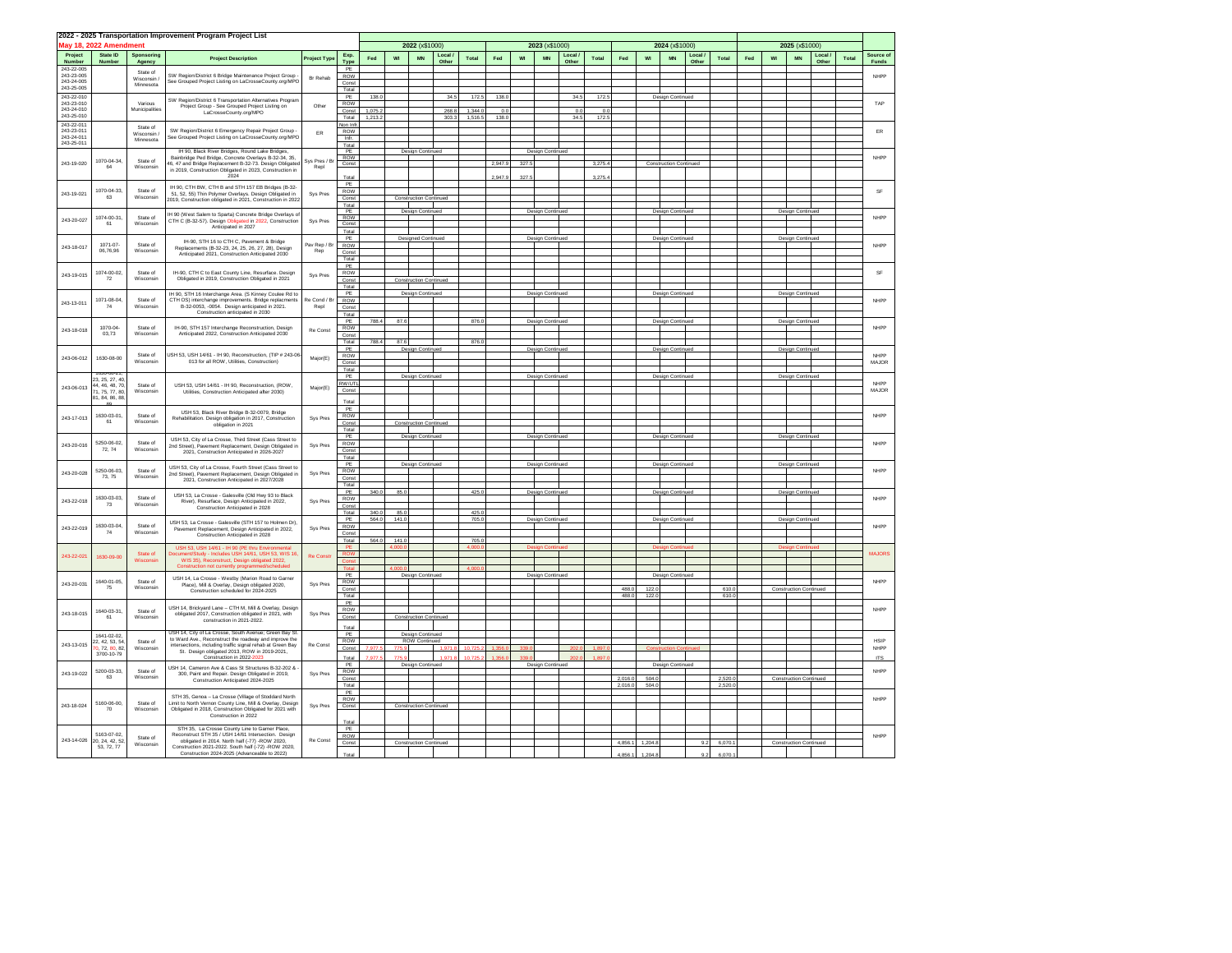|                          | 2022 - 2025 Transportation Improvement Program Project List |                                                                                                                   |                                                                                                                      |                                                        |                     |                |                               |                               |                                                |                |         |                                                   |                     |              |        |                 |                  |                         |                |         |                  |                               |                               |       |             |                    |                  |  |  |  |                  |                  |  |  |      |
|--------------------------|-------------------------------------------------------------|-------------------------------------------------------------------------------------------------------------------|----------------------------------------------------------------------------------------------------------------------|--------------------------------------------------------|---------------------|----------------|-------------------------------|-------------------------------|------------------------------------------------|----------------|---------|---------------------------------------------------|---------------------|--------------|--------|-----------------|------------------|-------------------------|----------------|---------|------------------|-------------------------------|-------------------------------|-------|-------------|--------------------|------------------|--|--|--|------------------|------------------|--|--|------|
|                          | May 18, 2022 Amendment                                      |                                                                                                                   |                                                                                                                      |                                                        |                     |                |                               | 2022 (x\$1000)                |                                                |                |         |                                                   | 2023 (x\$1000)      |              |        |                 |                  | 2024 (x\$1000)          |                |         |                  |                               | 2025 (x\$1000)                |       |             |                    |                  |  |  |  |                  |                  |  |  |      |
| Project                  | State ID<br>Number                                          | Sponsoring                                                                                                        | <b>Project Description</b>                                                                                           | Project Type                                           | Exp.                | Fed            | WI                            | <b>MN</b>                     | Local                                          | Total          | Fed     | WI                                                | <b>MN</b>           | Local /      | Total  | Fed             | w                | <b>MN</b>               | Local<br>Other | Total   | Fed              | WI                            | <b>MN</b>                     | Local | Total       | Source of<br>Funds |                  |  |  |  |                  |                  |  |  |      |
| Number<br>243-22-005     |                                                             | Agency<br>State of                                                                                                |                                                                                                                      |                                                        | Type<br>PE          |                |                               |                               | Other                                          |                |         |                                                   |                     | Other        |        |                 |                  |                         |                |         |                  |                               |                               | Other |             |                    |                  |  |  |  |                  |                  |  |  |      |
| 243-23-005<br>243-24-005 |                                                             | Wisconsin                                                                                                         | SW Region/District 6 Bridge Maintenance Project Group<br>See Grouped Project Listing on LaCrosseCounty.org/MPO       | <b>Br Rehab</b>                                        | ROW                 |                |                               |                               |                                                |                |         |                                                   |                     |              |        |                 |                  |                         |                |         |                  |                               |                               |       |             | NHPP               |                  |  |  |  |                  |                  |  |  |      |
| 243-25-005               |                                                             | Minnesota                                                                                                         |                                                                                                                      |                                                        | Const<br>Total      |                |                               |                               |                                                |                |         |                                                   |                     |              |        |                 |                  |                         |                |         |                  |                               |                               |       |             |                    |                  |  |  |  |                  |                  |  |  |      |
| 243-22-010<br>243-23-010 |                                                             | Various                                                                                                           | SW Region/District 6 Transportation Alternatives Program                                                             |                                                        | PE                  | 138.0          |                               |                               | 34.5                                           | 172.           | 138.0   |                                                   |                     | 34.5         | 172.5  |                 |                  | <b>Design Continued</b> |                |         |                  |                               |                               |       |             | TAF                |                  |  |  |  |                  |                  |  |  |      |
| 243-24-010               |                                                             | Municipalities                                                                                                    | Project Group - See Grouped Project Listing on<br>LaCrosseCounty.org/MPO                                             | Other                                                  | ROW<br>Const        | 1,075.         |                               |                               | 268.8                                          | 1,344.         | 0.0     |                                                   |                     | 0.0          | 0.0    |                 |                  |                         |                |         |                  |                               |                               |       |             |                    |                  |  |  |  |                  |                  |  |  |      |
| 243-25-010               |                                                             |                                                                                                                   |                                                                                                                      |                                                        | Total               | 1,213.         |                               |                               | 303.3                                          | 1,516.         | 138.0   |                                                   |                     | 34.5         | 172    |                 |                  |                         |                |         |                  |                               |                               |       |             |                    |                  |  |  |  |                  |                  |  |  |      |
| 243-22-011<br>243-23-011 |                                                             | State of<br>Wisconsin                                                                                             | SW Region/District 6 Emergency Repair Project Group                                                                  | ER                                                     | Non Infr<br>ROW     |                |                               |                               |                                                |                |         |                                                   |                     |              |        |                 |                  |                         |                |         |                  |                               |                               |       |             | ER                 |                  |  |  |  |                  |                  |  |  |      |
| 243-24-011<br>243-25-011 |                                                             | Minnesota                                                                                                         | See Grouped Project Listing on LaCrosseCounty.org/MPO                                                                |                                                        | Infr                |                |                               |                               |                                                |                |         |                                                   |                     |              |        |                 |                  |                         |                |         |                  |                               |                               |       |             |                    |                  |  |  |  |                  |                  |  |  |      |
|                          |                                                             |                                                                                                                   | IH 90, Black River Bridges, Round Lake Bridge                                                                        |                                                        | Total<br>PE         |                |                               | Design Continued              |                                                |                |         |                                                   | Design Continued    |              |        |                 |                  |                         |                |         |                  |                               |                               |       |             |                    |                  |  |  |  |                  |                  |  |  |      |
| 243-19-020               | 1070-04-34                                                  | State of                                                                                                          | Bainbridge Ped Bridge, Concrete Overlays B-32-34, 35.<br>6, 47 and Bridge Replacement B-32-73. Design Obligate       | Sys Pres / Br                                          | ROW                 |                |                               |                               |                                                |                | 2.947.9 | 327.5                                             |                     |              | 3.275. |                 |                  | Construction Continue   |                |         |                  |                               |                               |       |             | NHPF               |                  |  |  |  |                  |                  |  |  |      |
|                          | 64                                                          | Wisconsin                                                                                                         | in 2019, Construction Obligated in 2023, Construction in                                                             | Repl                                                   | Const               |                |                               |                               |                                                |                |         |                                                   |                     |              |        |                 |                  |                         |                |         |                  |                               |                               |       |             |                    |                  |  |  |  |                  |                  |  |  |      |
|                          |                                                             |                                                                                                                   |                                                                                                                      |                                                        | Total<br>PE         |                |                               |                               |                                                |                | 2,947.9 | 327.                                              |                     |              | 3,275. |                 |                  |                         |                |         |                  |                               |                               |       |             |                    |                  |  |  |  |                  |                  |  |  |      |
| 243-19-021               | 1070-04-33,                                                 | State of                                                                                                          | IH 90, CTH BW, CTH B and STH 157 EB Bridges (B-32-<br>51, 52, 55) Thin Polymer Overlays, Design Obligated in         | Sys Pres                                               | ROW                 |                |                               |                               |                                                |                |         |                                                   |                     |              |        |                 |                  |                         |                |         |                  |                               |                               |       |             | SF                 |                  |  |  |  |                  |                  |  |  |      |
|                          | 63                                                          | Wisconsin                                                                                                         | 2019, Construction obligated in 2021, Construction in 2022                                                           |                                                        | Const               |                |                               | <b>Construction Continued</b> |                                                |                |         |                                                   |                     |              |        |                 |                  |                         |                |         |                  |                               |                               |       |             |                    |                  |  |  |  |                  |                  |  |  |      |
|                          |                                                             |                                                                                                                   | IH 90 (West Salem to Sparta) Concrete Bridge Overlays o                                                              |                                                        | Total<br>PF         |                |                               | Design Continued              |                                                |                |         |                                                   | Design Continued    |              |        |                 |                  | Design Continued        |                |         |                  |                               | Design Continued              |       |             |                    |                  |  |  |  |                  |                  |  |  |      |
| 243-20-027               | 1074-00-31,<br>61                                           | State of<br>Wisconsin                                                                                             | CTH C (B-32-57). Design Obligated in 2022, Construction                                                              | Sys Pres                                               | <b>ROW</b><br>Const |                |                               |                               |                                                |                |         |                                                   |                     |              |        |                 |                  |                         |                |         |                  |                               |                               |       |             | NHPF               |                  |  |  |  |                  |                  |  |  |      |
|                          |                                                             |                                                                                                                   | Anticipated in 2027                                                                                                  |                                                        | Total               |                |                               |                               |                                                |                |         |                                                   |                     |              |        |                 |                  |                         |                |         |                  |                               |                               |       |             |                    |                  |  |  |  |                  |                  |  |  |      |
|                          | 1071-07                                                     | State of                                                                                                          | IH-90, STH 16 to CTH C, Pavement & Bridge                                                                            | Pav Rep / Br                                           | PF<br><b>ROW</b>    |                |                               | Designed Continued            |                                                |                |         |                                                   | Design Continued    |              |        |                 |                  | Design Continued        |                |         |                  |                               | Design Continuer              |       |             | NHPP               |                  |  |  |  |                  |                  |  |  |      |
| 243-18-017               | 06.76.96                                                    | Wisconsin                                                                                                         | Replacements (B-32-23, 24, 25, 26, 27, 28), Design<br>Anticipated 2021, Construction Anticipated 2030                | Rep                                                    | Const               |                |                               |                               |                                                |                |         |                                                   |                     |              |        |                 |                  |                         |                |         |                  |                               |                               |       |             |                    |                  |  |  |  |                  |                  |  |  |      |
|                          |                                                             |                                                                                                                   |                                                                                                                      |                                                        | Total<br>PE         |                |                               |                               |                                                |                |         |                                                   |                     |              |        |                 |                  |                         |                |         |                  |                               |                               |       |             |                    |                  |  |  |  |                  |                  |  |  |      |
| 243-19-015               | 1074-00-02                                                  | State of                                                                                                          | IH-90, CTH C to East County Line, Resurface, Design                                                                  |                                                        | Sys Pres            | ROW            |                               |                               |                                                |                |         |                                                   |                     |              |        |                 |                  |                         |                |         |                  |                               |                               |       |             |                    | SF               |  |  |  |                  |                  |  |  |      |
|                          | 72                                                          | Wisconsin                                                                                                         | Obligated in 2019, Construction Obligated in 2021                                                                    |                                                        | Const               |                |                               | <b>Construction Continued</b> |                                                |                |         |                                                   |                     |              |        |                 |                  |                         |                |         |                  |                               |                               |       |             |                    |                  |  |  |  |                  |                  |  |  |      |
|                          |                                                             |                                                                                                                   |                                                                                                                      | IH 90. STH 16 Interchange Area. (S Kinney Coulee Rd to |                     |                |                               |                               |                                                |                |         |                                                   |                     | Total<br>PE  |        |                 | Design Continued |                         |                |         |                  | Design Continued              |                               |       |             |                    | Design Continued |  |  |  |                  | Design Continuer |  |  |      |
| 243-13-011               | 1071-08-04                                                  | State of<br>Wisconsin                                                                                             |                                                                                                                      | CTH OS) interchange improvements. Bridge replacments   |                     |                |                               |                               |                                                |                |         | B-32-0053, -0054. Design anticipated in 2021.     | Re Cond / B<br>Repl | ROW          |        |                 |                  |                         |                |         |                  |                               |                               |       |             |                    |                  |  |  |  |                  |                  |  |  | NHPF |
|                          | 74                                                          |                                                                                                                   | Construction anticipated in 2030                                                                                     |                                                        |                     |                |                               |                               |                                                | Const<br>Total |         |                                                   |                     |              |        |                 |                  |                         |                |         |                  |                               |                               |       |             |                    |                  |  |  |  |                  |                  |  |  |      |
|                          |                                                             |                                                                                                                   |                                                                                                                      |                                                        |                     |                |                               |                               |                                                |                |         |                                                   | PF                  | 788.4        | 87.6   |                 |                  | 876.                    |                |         | Design Continued |                               |                               |       |             | Design Continued   |                  |  |  |  | Design Continued |                  |  |  |      |
| 243-18-018               | 1070-04<br>03,73                                            | State of<br>Wisconsin                                                                                             | Anticipated 2022, Construction Anticipated 2030                                                                      |                                                        |                     |                |                               |                               |                                                |                |         | IH-90, STH 157 Interchange Reconstruction, Design | Re Const            | ROW<br>Const |        |                 |                  |                         |                |         |                  |                               |                               |       |             |                    |                  |  |  |  |                  |                  |  |  | NHPF |
|                          |                                                             |                                                                                                                   |                                                                                                                      |                                                        | Total               | 788.4          | 87.6                          |                               |                                                | 876.           |         |                                                   |                     |              |        |                 |                  |                         |                |         |                  |                               |                               |       |             |                    |                  |  |  |  |                  |                  |  |  |      |
|                          |                                                             | State of                                                                                                          | ISH 53 LISH 14/61 - IH 90 Reconstruction (TIP # 243-06                                                               |                                                        | PE<br>ROW           |                |                               | Design Continued              |                                                |                |         |                                                   | Design Continue     |              |        |                 |                  | Design Continue         |                |         |                  |                               | Design Contin                 |       |             | <b>NHDD</b>        |                  |  |  |  |                  |                  |  |  |      |
| 243-06-012               | 1630-08-00                                                  | Wisconsin                                                                                                         | 013 for all ROW, Utilities, Construction)                                                                            | Major(E)                                               | Const               |                |                               |                               |                                                |                |         |                                                   |                     |              |        |                 |                  |                         |                |         |                  |                               |                               |       |             | MAJOR              |                  |  |  |  |                  |                  |  |  |      |
|                          |                                                             |                                                                                                                   |                                                                                                                      |                                                        | Total<br>PE         |                |                               |                               |                                                |                |         |                                                   |                     |              |        |                 |                  |                         |                |         |                  |                               |                               |       |             |                    |                  |  |  |  |                  |                  |  |  |      |
|                          | 23, 25, 27, 40<br>44, 46, 48, 70                            | State of                                                                                                          | USH 53, USH 14/61 - IH 90, Reconstruction, (ROW,                                                                     |                                                        | <b>RW/UT</b>        |                |                               | Design Continued              |                                                |                |         |                                                   | Design Continued    |              |        |                 |                  | Design Continued        |                |         |                  |                               | Design Continuer              |       |             | NHPP               |                  |  |  |  |                  |                  |  |  |      |
| 243-06-013               | 71, 75, 77, 80                                              | Wisconsin                                                                                                         | Utilities, Construction Anticipated after 2030)                                                                      | Major(E)                                               | Const               |                |                               |                               |                                                |                |         |                                                   |                     |              |        |                 |                  |                         |                |         |                  |                               |                               |       |             | MAJOR              |                  |  |  |  |                  |                  |  |  |      |
|                          | 81, 84, 86, 88                                              |                                                                                                                   |                                                                                                                      |                                                        | Total               |                |                               |                               |                                                |                |         |                                                   |                     |              |        |                 |                  |                         |                |         |                  |                               |                               |       |             |                    |                  |  |  |  |                  |                  |  |  |      |
| 243-17-013<br>61         | 1630-03-01                                                  | State of                                                                                                          | USH 53, Black River Bridge B-32-0079, Bridge                                                                         |                                                        | PF<br>ROW           |                |                               |                               |                                                |                |         |                                                   |                     |              |        |                 |                  |                         |                |         |                  |                               |                               |       |             | NHPP               |                  |  |  |  |                  |                  |  |  |      |
|                          |                                                             | Wisconsin                                                                                                         | Rehabilitation. Design obligation in 2017, Construction<br>obligation in 2021                                        | Sys Pres                                               | Const               |                |                               | <b>Construction Continued</b> |                                                |                |         |                                                   |                     |              |        |                 |                  |                         |                |         |                  |                               |                               |       |             |                    |                  |  |  |  |                  |                  |  |  |      |
|                          |                                                             |                                                                                                                   |                                                                                                                      |                                                        | Total<br>PE         |                |                               | Design Continued              |                                                |                |         |                                                   | Design Continued    |              |        |                 |                  | Design Continued        |                |         |                  |                               | Design Contin                 |       |             |                    |                  |  |  |  |                  |                  |  |  |      |
| 243-20-016               | 5250-06-02                                                  | State of                                                                                                          | USH 53. City of La Crosse. Third Street (Cass Street to<br>2nd Street), Pavement Replacement, Design Obligated in    | Sys Pres                                               | ROW                 |                |                               |                               |                                                |                |         |                                                   |                     |              |        |                 |                  |                         |                |         |                  |                               |                               |       |             | NHPP               |                  |  |  |  |                  |                  |  |  |      |
|                          | 72, 74                                                      | Wisconsin                                                                                                         | 2021. Construction Anticipated in 2026-2027                                                                          |                                                        | Const<br>Total      |                |                               |                               |                                                |                |         |                                                   |                     |              |        |                 |                  |                         |                |         |                  |                               |                               |       |             |                    |                  |  |  |  |                  |                  |  |  |      |
|                          |                                                             |                                                                                                                   | USH 53, City of La Crosse, Fourth Street (Cass Street to                                                             |                                                        | PE                  |                |                               | Design Continued              |                                                |                |         |                                                   | Design Continued    |              |        |                 |                  | Design Continued        |                |         |                  |                               | Design Continuer              |       |             |                    |                  |  |  |  |                  |                  |  |  |      |
| 243-20-028               | 5250-06-03<br>73, 75                                        | State of<br>Wisconsin                                                                                             | 2nd Street), Pavement Replacement, Design Obligated in                                                               | Sys Pres                                               | ROW<br>Const        |                |                               |                               |                                                |                |         |                                                   |                     |              |        |                 |                  |                         |                |         |                  |                               |                               |       |             | NHPP               |                  |  |  |  |                  |                  |  |  |      |
|                          |                                                             |                                                                                                                   | 2021, Construction Anticipated in 2027/2028                                                                          |                                                        | Total               |                |                               |                               |                                                |                |         |                                                   |                     |              |        |                 |                  |                         |                |         |                  |                               |                               |       |             |                    |                  |  |  |  |                  |                  |  |  |      |
|                          | 1630-03-03                                                  | State of                                                                                                          | USH 53, La Crosse - Galesville (Old Hwy 93 to Black                                                                  |                                                        | PE<br><b>ROW</b>    | 340.0          | 85.0                          |                               |                                                | 425.           |         |                                                   | Design Continued    |              |        |                 |                  | Design Continued        |                |         |                  |                               | Design Continuer              |       |             | NHPP               |                  |  |  |  |                  |                  |  |  |      |
| 243-22-018               | 73                                                          | Wisconsin                                                                                                         | Construction Anticipated in 2028                                                                                     |                                                        |                     |                |                               |                               | River), Resurface, Design Anticipated in 2022, | Sys Pres       | Const   |                                                   |                     |              |        |                 |                  |                         |                |         |                  |                               |                               |       |             |                    |                  |  |  |  |                  |                  |  |  |      |
|                          |                                                             |                                                                                                                   |                                                                                                                      |                                                        | Total<br>PE         | 340.0<br>564.0 | 85.0<br>141.0                 |                               |                                                | 425.<br>705.   |         |                                                   | Design Continu      |              |        |                 |                  | Design Continu          |                |         |                  |                               | Design Conti                  |       |             |                    |                  |  |  |  |                  |                  |  |  |      |
| 243-22-019               | 1630-03-04,                                                 | State of                                                                                                          | USH 53. La Crosse - Galesville (STH 157 to Holmen Dr)<br>Pavement Replacement, Design Anticipated in 2022,           | Sys Pres                                               | ROW                 |                |                               |                               |                                                |                |         |                                                   |                     |              |        |                 |                  |                         |                |         |                  |                               |                               |       |             | NHPF               |                  |  |  |  |                  |                  |  |  |      |
|                          | 74                                                          | Wisconsin                                                                                                         | Construction Anticipated in 2028                                                                                     |                                                        | Const<br>Total      | 564.0          | 141.0                         |                               |                                                | 7051           |         |                                                   |                     |              |        |                 |                  |                         |                |         |                  |                               |                               |       |             |                    |                  |  |  |  |                  |                  |  |  |      |
|                          |                                                             |                                                                                                                   | USH 53, USH 14/61 - IH 90 (PE thru Environm                                                                          |                                                        |                     |                |                               |                               |                                                |                |         |                                                   |                     |              |        |                 |                  |                         |                |         |                  |                               |                               |       |             |                    |                  |  |  |  |                  |                  |  |  |      |
| 243-22-02                | 1630-09-00                                                  | State of<br>Wisconsin                                                                                             | ocument/Study - Includes USH 14/61, USH 53, WIS 16<br>WIS 35), Reconstruct, Design obligated 2022                    | <b>Re Constr</b>                                       | <b>ROW</b>          |                |                               |                               |                                                |                |         |                                                   |                     |              |        |                 |                  |                         |                |         |                  |                               |                               |       |             | <b>MAJORS</b>      |                  |  |  |  |                  |                  |  |  |      |
|                          |                                                             |                                                                                                                   | Construction not currently programmed/scheduler                                                                      |                                                        | Cons                |                |                               |                               |                                                |                |         |                                                   |                     |              |        |                 |                  |                         |                |         |                  |                               |                               |       |             |                    |                  |  |  |  |                  |                  |  |  |      |
|                          |                                                             |                                                                                                                   | USH 14. La Crosse - Westby (Marion Road to Garner                                                                    |                                                        | PE                  |                |                               | Design Continued              |                                                |                |         |                                                   | Design Continued    |              |        |                 |                  | Design Continuer        |                |         |                  |                               |                               |       |             |                    |                  |  |  |  |                  |                  |  |  |      |
| 243-20-031               | 1640-01-05<br>75                                            | State of<br>Wisconsin                                                                                             | Place), Mill & Overlay, Design obligated 2020,<br>Construction scheduled for 2024-2025                               | Sys Pres                                               | ROW<br>Const        |                |                               |                               |                                                |                |         |                                                   |                     |              |        | 488 0           | 122 <sub>0</sub> |                         |                | 610.0   |                  |                               | <b>Construction Continued</b> |       |             | <b>NHPF</b>        |                  |  |  |  |                  |                  |  |  |      |
|                          |                                                             |                                                                                                                   |                                                                                                                      |                                                        | Total               |                |                               |                               |                                                |                |         |                                                   |                     |              |        | 488.0           | 122.0            |                         |                | 610.0   |                  |                               |                               |       |             |                    |                  |  |  |  |                  |                  |  |  |      |
|                          |                                                             | State of                                                                                                          | USH 14. Brickvard Lane - CTH M. Mill & Overlay. Design                                                               |                                                        | PE<br><b>ROW</b>    |                |                               |                               |                                                |                |         |                                                   |                     |              |        |                 |                  |                         |                |         |                  |                               |                               |       |             | NHPF               |                  |  |  |  |                  |                  |  |  |      |
| 243-18-015               | 1640-03-31<br>61                                            | Wisconsin                                                                                                         | obligated 2017, Construction obligated in 2021, with<br>construction in 2021-2022.                                   | Sys Pres                                               | Const               |                |                               | <b>Construction Continued</b> |                                                |                |         |                                                   |                     |              |        |                 |                  |                         |                |         |                  |                               |                               |       |             |                    |                  |  |  |  |                  |                  |  |  |      |
|                          |                                                             |                                                                                                                   |                                                                                                                      |                                                        | Total               |                |                               |                               |                                                |                |         |                                                   |                     |              |        |                 |                  |                         |                |         |                  |                               |                               |       |             |                    |                  |  |  |  |                  |                  |  |  |      |
|                          | 1641-02-02                                                  |                                                                                                                   | USH 14 City of La Crosse, South Avenue: Green Bay St.<br>to Ward Ave., Reconstruct the roadway and improve the       |                                                        | PE                  |                |                               | Design Continued              |                                                |                |         |                                                   |                     |              |        |                 |                  |                         |                |         |                  |                               |                               |       |             | <b>HSIP</b>        |                  |  |  |  |                  |                  |  |  |      |
| 243-13-015               | 22. 42. 53. 54<br>, 72, 80, 82                              | State of<br>Wisconsin                                                                                             | intersections, including traffic signal rehab at Green Bay<br>St. Design obligated 2013, ROW in 2019-2021.           | Re Const                                               | ROW<br>Const        |                |                               | <b>ROW Continued</b>          |                                                |                |         |                                                   |                     |              |        |                 |                  |                         |                |         |                  |                               |                               |       |             | NHPP               |                  |  |  |  |                  |                  |  |  |      |
|                          | 3700-10-79                                                  |                                                                                                                   | Construction in 2022-202                                                                                             |                                                        | Total               |                | 7753                          |                               | 1.971                                          | 10,725         | 1.356.  |                                                   |                     | 202          | 1,897  |                 |                  |                         |                |         |                  |                               |                               |       |             | <b>ITS</b>         |                  |  |  |  |                  |                  |  |  |      |
|                          | 5200-03-33                                                  | State of                                                                                                          | USH 14, Cameron Ave & Cass St Structures B-32-202 &                                                                  |                                                        | PE<br>ROW           |                |                               | Design Continued              |                                                |                |         |                                                   | Design Continued    |              |        |                 |                  | Design Continued        |                |         |                  |                               |                               |       |             | NHPP               |                  |  |  |  |                  |                  |  |  |      |
| 243-19-022               | 63                                                          | Wisconsin                                                                                                         | 300, Paint and Repair. Design Obligated in 2019,<br>Construction Anticipated 2024-2025                               | Sys Pres                                               | Const               |                |                               |                               |                                                |                |         |                                                   |                     |              |        | 2.016.0         | 504.0            |                         |                | 2.520.  |                  |                               | <b>Construction Continued</b> |       |             |                    |                  |  |  |  |                  |                  |  |  |      |
|                          |                                                             |                                                                                                                   |                                                                                                                      |                                                        | Total               |                |                               |                               |                                                |                |         |                                                   |                     |              |        | 2,016.0         | 504.0            |                         |                | 2,520.  |                  |                               |                               |       |             |                    |                  |  |  |  |                  |                  |  |  |      |
|                          |                                                             |                                                                                                                   | STH 35, Genoa - La Crosse (Village of Stoddard North                                                                 |                                                        | PE<br>ROW           |                |                               |                               |                                                |                |         |                                                   |                     |              |        |                 |                  |                         |                |         |                  |                               |                               |       |             | NHPF               |                  |  |  |  |                  |                  |  |  |      |
| 243-18-024               | 5160-06-00,<br>70                                           | State of<br>Wisconsin                                                                                             | Limit to North Vernon County Line, Mill & Overlay, Design<br>Obligated in 2018, Construction Obligated for 2021 with | Sys Pres                                               | Const               |                |                               | <b>Construction Continued</b> |                                                |                |         |                                                   |                     |              |        |                 |                  |                         |                |         |                  |                               |                               |       |             |                    |                  |  |  |  |                  |                  |  |  |      |
|                          |                                                             |                                                                                                                   | Construction in 2022                                                                                                 |                                                        | Total               |                |                               |                               |                                                |                |         |                                                   |                     |              |        |                 |                  |                         |                |         |                  |                               |                               |       |             |                    |                  |  |  |  |                  |                  |  |  |      |
|                          |                                                             |                                                                                                                   | STH 35, La Crosse County Line to Gamer Place,                                                                        |                                                        | PE                  |                |                               |                               |                                                |                |         |                                                   |                     |              |        |                 |                  |                         |                |         |                  |                               |                               |       |             |                    |                  |  |  |  |                  |                  |  |  |      |
| 243-14-026               | 5163-07-02<br>20, 24, 42, 52                                | Reconstruct STH 35 / USH 14/61 Intersection. Design<br>State of<br>obligated in 2014. North half (-77) -ROW 2020, | Re Const                                                                                                             | ROW<br>Const                                           |                     |                | <b>Construction Continued</b> |                               |                                                |                |         |                                                   |                     |              |        | 4,856.1 1,204.8 |                  | 9.2                     | 6,070.1        |         |                  | <b>Construction Continued</b> |                               |       | <b>NHPP</b> |                    |                  |  |  |  |                  |                  |  |  |      |
|                          | Wisconsin<br>53, 72, 77                                     | Construction 2021-2022. South half (-72) -ROW 2020,                                                               |                                                                                                                      |                                                        |                     |                |                               |                               |                                                |                |         |                                                   |                     |              |        |                 |                  |                         |                |         |                  |                               |                               |       |             |                    |                  |  |  |  |                  |                  |  |  |      |
|                          |                                                             |                                                                                                                   | Construction 2024-2025 (Advanceable to 2022)                                                                         |                                                        | Total               |                |                               |                               |                                                |                |         |                                                   |                     |              |        | 48561           | 1.204.8          |                         | 9.2            | 6.070 - |                  |                               |                               |       |             |                    |                  |  |  |  |                  |                  |  |  |      |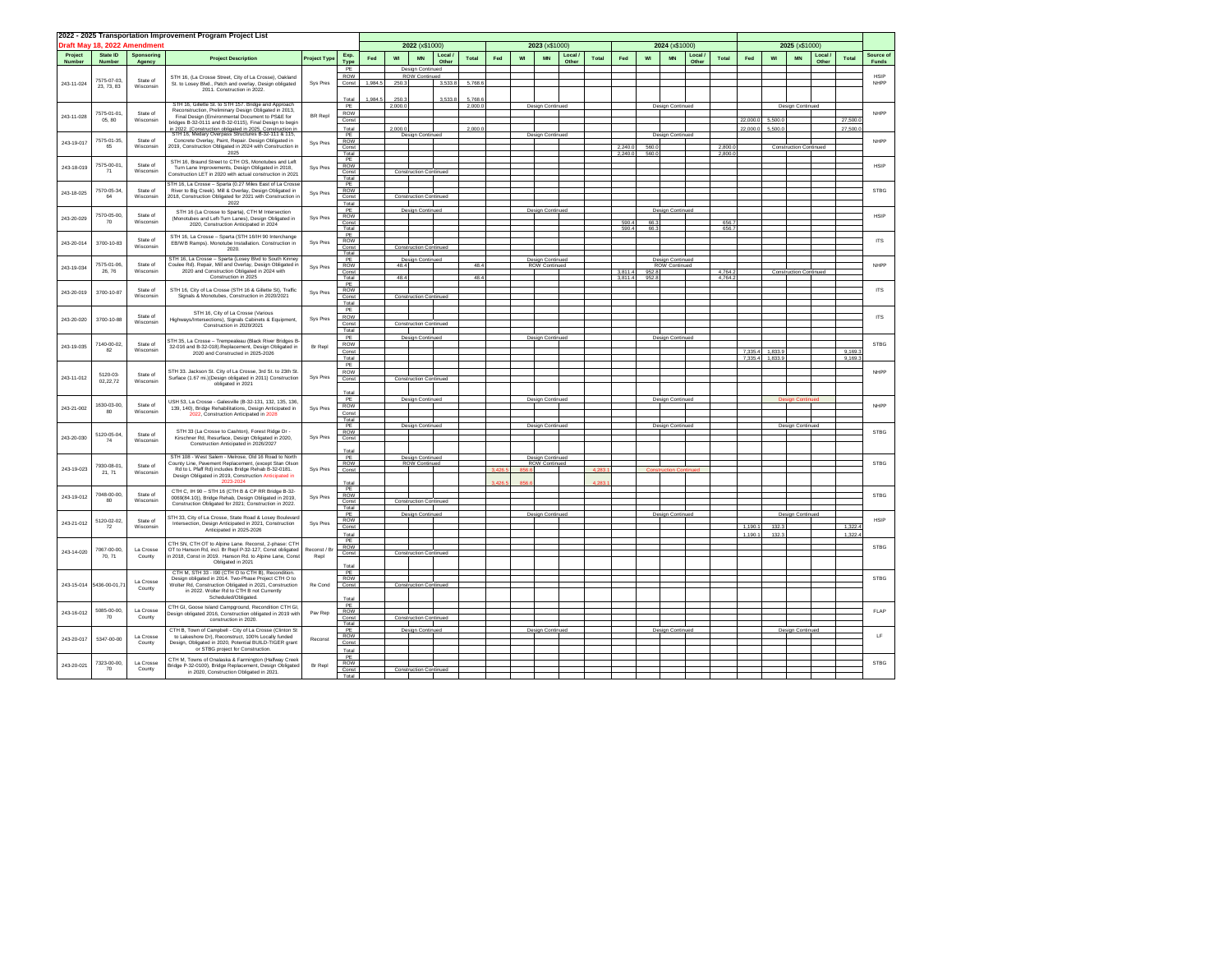| 2022 - 2025 Transportation Improvement Program Project List |                                                                                                                     |                                                                   |                                                                                                                      |                     |                  |                               |         |                                   |                 |         |     |                |                                          |                |         |                    |                |                                          | 2025 (x\$1000) |                 |          |                               |                               |                  |             |                            |
|-------------------------------------------------------------|---------------------------------------------------------------------------------------------------------------------|-------------------------------------------------------------------|----------------------------------------------------------------------------------------------------------------------|---------------------|------------------|-------------------------------|---------|-----------------------------------|-----------------|---------|-----|----------------|------------------------------------------|----------------|---------|--------------------|----------------|------------------------------------------|----------------|-----------------|----------|-------------------------------|-------------------------------|------------------|-------------|----------------------------|
|                                                             |                                                                                                                     | Draft May 18, 2022 Amendment                                      |                                                                                                                      |                     |                  | 2022 (x\$1000)                |         |                                   |                 |         |     | 2023 (x\$1000) |                                          |                |         |                    | 2024 (x\$1000) |                                          |                |                 |          |                               |                               |                  |             |                            |
| Project<br>Number                                           | State ID<br>Number                                                                                                  | Sponsoring<br>Agency                                              | <b>Project Description</b>                                                                                           | <b>Project Type</b> | Exp.<br>Type     | Fed                           | wi      | <b>MN</b>                         | Local.<br>Other | Total   | Fed | w              | <b>MN</b>                                | Local<br>Other | Total   | Fed                | <b>WI</b>      | MN                                       | Local<br>Other | Total           | Fed      | wi                            | <b>MN</b>                     | Local /<br>Other | Total       | Source of<br><b>Funds</b>  |
|                                                             |                                                                                                                     |                                                                   |                                                                                                                      |                     | PE               |                               |         | Design Continued                  |                 |         |     |                |                                          |                |         |                    |                |                                          |                |                 |          |                               |                               |                  |             |                            |
| 243-11-024                                                  | 7575-07-03.                                                                                                         | State of                                                          | STH 16, (La Crosse Street, City of La Crosse), Oakland<br>St. to Losey Blvd., Patch and overlay, Design obligated    | Sys Pres            | ROW<br>Const     | 1984.5                        | 250.3   | <b>ROW Continued</b>              | 3.533.8         | 5,768.6 |     |                |                                          |                |         |                    |                |                                          |                |                 |          |                               |                               |                  |             | <b>HSIP</b><br><b>NHPP</b> |
|                                                             | 23, 73, 83                                                                                                          | Wisconsin                                                         | 2011 Construction in 2022                                                                                            |                     |                  |                               |         |                                   |                 |         |     |                |                                          |                |         |                    |                |                                          |                |                 |          |                               |                               |                  |             |                            |
|                                                             |                                                                                                                     |                                                                   | STH 16, Gillette St. to STH 157. Bridge and Approach                                                                 |                     | Total            | 1,984.                        | 250.3   |                                   | 3,533.8         | 5,768.  |     |                |                                          |                |         |                    |                |                                          |                |                 |          |                               |                               |                  |             |                            |
|                                                             | 7575-01-01                                                                                                          | State of                                                          | Reconstruction, Preliminary Design Obligated in 2013,                                                                | <b>BR</b> Repl      | PE<br>ROW        |                               | 2,000.0 |                                   |                 | 2.000   |     |                | Design Continued                         |                |         |                    |                | Design Continued                         |                |                 |          |                               | <b>Design Continued</b>       |                  |             | NHPP                       |
| 243-11-028                                                  | 05 80                                                                                                               | Wisconsin                                                         | Final Design (Environmental Document to PS&E for<br>oridges B-32-0111 and B-32-0115), Final Design to begin          |                     | Const            |                               |         |                                   |                 |         |     |                |                                          |                |         |                    |                |                                          |                |                 | 22,000.0 | 5.500                         |                               |                  | 27,500      |                            |
|                                                             |                                                                                                                     |                                                                   | n 2022. (Construction obligated in 2025. Construction in                                                             |                     | Total<br>PF      |                               | 2.000.0 | Design Continued                  |                 | 2.000   |     |                | Design Continued                         |                |         |                    |                | Design Continued                         |                |                 | 22.000.0 | 5.500                         |                               |                  | 27,500.     |                            |
| 243-19-017                                                  | 7575-01-35                                                                                                          | State of                                                          | Concrete Overlay, Paint, Repair. Design Obligated in                                                                 | Sys Pres            | ROW              |                               |         |                                   |                 |         |     |                |                                          |                |         |                    |                |                                          |                |                 |          |                               |                               |                  |             | NHPP                       |
|                                                             | 65                                                                                                                  | Wisconsin                                                         | 2019, Construction Obligated in 2024 with Construction in<br>2025                                                    |                     | Const<br>Total   |                               |         |                                   |                 |         |     |                |                                          |                |         | 2.240.0<br>2,240.0 | 560.0<br>560   |                                          |                | 2.800<br>2,800. |          |                               | <b>Construction Continued</b> |                  |             |                            |
|                                                             | 7575-00-01                                                                                                          | State of                                                          | STH 16, Braund Street to CTH OS, Monotubes and Left                                                                  |                     | PF<br>ROW        |                               |         |                                   |                 |         |     |                |                                          |                |         |                    |                |                                          |                |                 |          |                               |                               |                  |             | <b>HSIP</b>                |
| 243-18-019                                                  | 71                                                                                                                  | Wisconsin                                                         | Turn Lane Improvements, Design Obligated in 2018,<br>Construction LET in 2020 with actual construction in 2021       | Sys Pres            | Const            |                               |         | <b>Construction Continued</b>     |                 |         |     |                |                                          |                |         |                    |                |                                          |                |                 |          |                               |                               |                  |             |                            |
|                                                             |                                                                                                                     |                                                                   | STH 16, La Crosse - Sparta (0.27 Miles East of La Crosse                                                             |                     | Total<br>PE      |                               |         |                                   |                 |         |     |                |                                          |                |         |                    |                |                                          |                |                 |          |                               |                               |                  |             |                            |
| 243-18-025                                                  | 7570-05-34<br>64                                                                                                    | State of<br>Wisconsin                                             | River to Big Creek). Mill & Overlay, Design Obligated in                                                             | Sys Pres            | ROW              |                               |         |                                   |                 |         |     |                |                                          |                |         |                    |                |                                          |                |                 |          |                               |                               |                  |             | <b>STBG</b>                |
|                                                             |                                                                                                                     |                                                                   | 2018, Construction Obligated for 2021 with Construction in<br>2022                                                   |                     | Const<br>Total   |                               |         | <b>Construction Continued</b>     |                 |         |     |                |                                          |                |         |                    |                |                                          |                |                 |          |                               |                               |                  |             |                            |
|                                                             | 7570-05-00                                                                                                          | State of                                                          | STH 16 (La Crosse to Sparta), CTH M Intersection                                                                     |                     | PE               |                               |         | <b>Design Continued</b>           |                 |         |     |                | Design Continued                         |                |         |                    |                | Design Continuer                         |                |                 |          |                               |                               |                  |             | <b>HSIP</b>                |
| 243-20-029                                                  | 70                                                                                                                  | Wisconsin                                                         | (Monotubes and Left-Turn Lanes), Design Obligated in<br>2020. Construction Anticipated in 2024                       | Sys Pres            | ROW<br>Const     |                               |         |                                   |                 |         |     |                |                                          |                |         | 590.4              | 66.3           |                                          |                | <b>656.7</b>    |          |                               |                               |                  |             |                            |
|                                                             |                                                                                                                     | STH 16, La Crosse - Sparta (STH 16/IH 90 Interchange              |                                                                                                                      | Total<br>PE         |                  |                               |         |                                   |                 |         |     |                |                                          |                | 590 4   | 66.3               |                |                                          | 656.7          |                 |          |                               |                               |                  |             |                            |
| 243-20-014                                                  | State of<br>3700-10-83<br>Wisconsin                                                                                 |                                                                   | EB/WB Ramps). Monotube Installation. Construction in                                                                 | Sys Pres            | ROW              |                               |         |                                   |                 |         |     |                |                                          |                |         |                    |                |                                          |                |                 |          |                               |                               |                  |             | <b>ITS</b>                 |
|                                                             |                                                                                                                     |                                                                   | 2020                                                                                                                 |                     | Const<br>Total   |                               |         | <b>Construction Continued</b>     |                 |         |     |                |                                          |                |         |                    |                |                                          |                |                 |          |                               |                               |                  |             |                            |
|                                                             | 7575-01-06                                                                                                          | State of                                                          | STH 16 La Crosse - Sparta (Losey Blyd to South Kinney<br>Coulee Rd). Repair, Mill and Overlay, Design Obligated in   |                     | PF<br>ROW        |                               | 48.4    | Design Continued                  |                 | 48.4    |     |                | Design Continued<br>ROW Continued        |                |         |                    |                | Design Continued<br><b>ROW Continued</b> |                |                 |          |                               |                               |                  |             | NHPP                       |
| 243-19-034                                                  | 26, 76                                                                                                              | Wisconsin<br>2020 and Construction Obligated in 2024 with         | Sys Pres                                                                                                             | Const               |                  |                               |         |                                   |                 |         |     |                |                                          |                | 3.811.4 | 952.8              |                |                                          | 4.764.2        |                 |          | <b>Construction Continued</b> |                               |                  |             |                            |
|                                                             |                                                                                                                     |                                                                   | Construction in 2025                                                                                                 |                     | Total<br>PE      |                               | 48.4    |                                   |                 | 48.4    |     |                |                                          |                |         | 3.811.4            | 952.8          |                                          |                | 4.764.          |          |                               |                               |                  |             |                            |
| 243-20-019                                                  | 3700-10-87                                                                                                          | State of                                                          | STH 16. City of La Crosse (STH 16 & Gillette St). Traffic                                                            | Sys Pres            | <b>ROW</b>       |                               |         |                                   |                 |         |     |                |                                          |                |         |                    |                |                                          |                |                 |          |                               |                               |                  |             | <b>ITS</b>                 |
|                                                             |                                                                                                                     | Wisconsin                                                         | Signals & Monotubes, Construction in 2020/2021                                                                       |                     | Const<br>Total   |                               |         | <b>Construction Continued</b>     |                 |         |     |                |                                          |                |         |                    |                |                                          |                |                 |          |                               |                               |                  |             |                            |
|                                                             |                                                                                                                     | State of                                                          | STH 16 City of La Crosse (Various                                                                                    |                     | PE               |                               |         |                                   |                 |         |     |                |                                          |                |         |                    |                |                                          |                |                 |          |                               |                               |                  |             |                            |
| 243-20-020                                                  | 3700-10-88                                                                                                          | Wisconsin                                                         | Highways/Intersections), Signals Cabinets & Equipment,<br>Construction in 2020/2021                                  | Sys Pres            | ROW<br>Const     |                               |         | <b>Construction Continued</b>     |                 |         |     |                |                                          |                |         |                    |                |                                          |                |                 |          |                               |                               |                  |             | <b>ITS</b>                 |
|                                                             |                                                                                                                     |                                                                   |                                                                                                                      |                     | Total            |                               |         |                                   |                 |         |     |                |                                          |                |         |                    |                |                                          |                |                 |          |                               |                               |                  |             |                            |
|                                                             | 7140-00-02                                                                                                          | State of                                                          | STH 35, La Crosse - Trempealeau (Black River Bridges B-                                                              |                     | PF<br>ROW        |                               |         | Design Continued                  |                 |         |     |                | Design Continued                         |                |         |                    |                | Design Continued                         |                |                 |          |                               |                               |                  |             | <b>STBG</b>                |
| 243-19-035                                                  | 82                                                                                                                  | Wisconsin                                                         | 32-016 and B-32-018).Replacement, Design Obligated in<br>2020 and Constructed in 2025-2026                           | Br Repl             | Const            |                               |         |                                   |                 |         |     |                |                                          |                |         |                    |                |                                          |                |                 | 7.335.4  | 1,833.                        |                               |                  | 9,169.3     |                            |
|                                                             |                                                                                                                     |                                                                   |                                                                                                                      |                     | Total<br>PE      |                               |         |                                   |                 |         |     |                |                                          |                |         |                    |                |                                          |                |                 | 7.335.4  | 1.833.                        |                               |                  | 9.169.      |                            |
|                                                             | 5120-03-                                                                                                            | State of                                                          | STH 33. Jackson St. City of La Crosse, 3rd St. to 23th St                                                            |                     | ROW              |                               |         |                                   |                 |         |     |                |                                          |                |         |                    |                |                                          |                |                 |          |                               |                               |                  |             | <b>NHPP</b>                |
| 243-11-012                                                  | 02.22.72                                                                                                            | Wisconsin                                                         | Surface (1.67 mi.)(Design obligated in 2011) Construction<br>obligated in 2021                                       | Sys Pres            | Const            |                               |         | <b>Construction Continued</b>     |                 |         |     |                |                                          |                |         |                    |                |                                          |                |                 |          |                               |                               |                  |             |                            |
|                                                             |                                                                                                                     |                                                                   |                                                                                                                      |                     | Total            |                               |         |                                   |                 |         |     |                |                                          |                |         |                    |                |                                          |                |                 |          |                               |                               |                  |             |                            |
|                                                             | 1630-03-00,                                                                                                         | State of                                                          | USH 53 La Crosse - Galesville (B-32-131 132 135 136                                                                  |                     | PE<br><b>ROW</b> |                               |         | Design Continued                  |                 |         |     |                | Design Continued                         |                |         |                    |                | <b>Design Continued</b>                  |                |                 |          |                               |                               |                  |             | <b>NHPP</b>                |
| 243-21-002                                                  | 80                                                                                                                  | Wisconsin                                                         | 139, 140). Bridge Rehabilitations. Design Anticipated in<br>2022, Construction Anticipated in 2028                   | Sys Pres            | Const            |                               |         |                                   |                 |         |     |                |                                          |                |         |                    |                |                                          |                |                 |          |                               |                               |                  |             |                            |
|                                                             |                                                                                                                     |                                                                   |                                                                                                                      |                     | Total<br>PE      |                               |         | Design Continued                  |                 |         |     |                | Design Continued                         |                |         |                    |                | Design Continued                         |                |                 |          |                               | Design Continued              |                  |             |                            |
|                                                             | 5120-05-04                                                                                                          | State of                                                          | STH 33 (La Crosse to Cashton), Forest Ridge Dr -                                                                     |                     | ROW              |                               |         |                                   |                 |         |     |                |                                          |                |         |                    |                |                                          |                |                 |          |                               |                               |                  |             | <b>STBG</b>                |
| 243-20-030                                                  | 74                                                                                                                  | Wisconsin                                                         | Kirschner Rd, Resurface, Design Obligated in 2020,<br>Construction Anticipated in 2026/2027                          | Sys Pres            | Const            |                               |         |                                   |                 |         |     |                |                                          |                |         |                    |                |                                          |                |                 |          |                               |                               |                  |             |                            |
|                                                             |                                                                                                                     |                                                                   |                                                                                                                      |                     | Total            |                               |         |                                   |                 |         |     |                |                                          |                |         |                    |                |                                          |                |                 |          |                               |                               |                  |             |                            |
|                                                             | 7930-08-01                                                                                                          | State of                                                          | STH 108 - West Salem - Melrose, Old 16 Road to North<br>County Line, Payement Replacement, (except Stan Olson        |                     | PE<br>ROW        |                               |         | Design Continued<br>ROW Continued |                 |         |     |                | Design Continued<br><b>ROW Continued</b> |                |         |                    |                |                                          |                |                 |          |                               |                               |                  |             | <b>STBG</b>                |
| 243-19-023                                                  | 21, 71                                                                                                              | Wisconsin                                                         | Rd to L Pfaff Rd) includes Bridge Rehab B-32-0181<br>Design Obligated in 2019. Construction Anticipated in           | Sys Pres            | Const            |                               |         |                                   |                 |         |     |                |                                          |                |         |                    |                |                                          |                |                 |          |                               |                               |                  |             |                            |
|                                                             |                                                                                                                     |                                                                   |                                                                                                                      |                     | Total            |                               |         |                                   |                 |         |     |                |                                          |                |         |                    |                |                                          |                |                 |          |                               |                               |                  |             |                            |
| 243-19-012                                                  | 7048-00-00                                                                                                          | State of                                                          | CTH C, IH 90 - STH 16 (CTH B & CP RR Bridge B-32-                                                                    |                     | PE<br><b>ROW</b> |                               |         |                                   |                 |         |     |                |                                          |                |         |                    |                |                                          |                |                 |          |                               |                               |                  |             | <b>STBG</b>                |
|                                                             | 80                                                                                                                  | Wisconsin                                                         | 0069(84.10)), Bridge Rehab, Design Obligated in 2019,<br>Construction Obligated for 2021: Construction in 2022.      | Sys Pres            | Const            |                               |         | <b>Construction Continued</b>     |                 |         |     |                |                                          |                |         |                    |                |                                          |                |                 |          |                               |                               |                  |             |                            |
|                                                             |                                                                                                                     |                                                                   | STH 33. City of La Crosse, State Road & Losey Boulevan                                                               |                     | Total<br>PE      |                               |         | Design Continued                  |                 |         |     |                | Design Continued                         |                |         |                    |                | Design Continued                         |                |                 |          |                               | Design Continued              |                  |             |                            |
| 243-21-012                                                  | 5120-02-02,<br>${\bf 72}$                                                                                           | State of<br>Wisconsin                                             | Intersection, Design Anticipated in 2021, Construction                                                               | Sys Pres            | ROW<br>Const     |                               |         |                                   |                 |         |     |                |                                          |                |         |                    |                |                                          |                |                 | 1 190 1  | 132                           |                               |                  | 1.322       | <b>HSIP</b>                |
|                                                             |                                                                                                                     |                                                                   | Anticipated in 2025-2026                                                                                             |                     | Total            |                               |         |                                   |                 |         |     |                |                                          |                |         |                    |                |                                          |                |                 | 1,190.1  | 132.                          |                               |                  | 1,322.      |                            |
|                                                             |                                                                                                                     |                                                                   | CTH SN, CTH OT to Alpine Lane. Reconst, 2-phase: CTH                                                                 |                     | PE<br><b>ROW</b> |                               |         |                                   |                 |         |     |                |                                          |                |         |                    |                |                                          |                |                 |          |                               |                               |                  |             | <b>STBG</b>                |
| 243-14-020                                                  | 7067-00-00<br>70.71                                                                                                 | La Crosse<br>County                                               | OT to Hanson Rd. incl. Br Reol P-32-127. Const obligated<br>in 2018. Const in 2019. Hanson Rd. to Alpine Lane. Const | Reconst / R<br>Repl | Const            |                               |         | <b>Construction Continued</b>     |                 |         |     |                |                                          |                |         |                    |                |                                          |                |                 |          |                               |                               |                  |             |                            |
|                                                             |                                                                                                                     |                                                                   | Obligated in 2021                                                                                                    |                     | Total            |                               |         |                                   |                 |         |     |                |                                          |                |         |                    |                |                                          |                |                 |          |                               |                               |                  |             |                            |
|                                                             |                                                                                                                     |                                                                   | CTH M, STH 33 - I90 (CTH O to CTH B), Recondition.                                                                   |                     | PE               |                               |         |                                   |                 |         |     |                |                                          |                |         |                    |                |                                          |                |                 |          |                               |                               |                  |             |                            |
| 243-15-014                                                  | 5436-00-01.7                                                                                                        | La Crosse                                                         | Design obligated in 2014. Two-Phase Project CTH O to<br>Wolter Rd. Construction Obligated in 2021. Construction      | Re Cond             | ROW<br>Const     |                               |         | <b>Construction Continued</b>     |                 |         |     |                |                                          |                |         |                    |                |                                          |                |                 |          |                               |                               |                  |             | <b>STBG</b>                |
|                                                             |                                                                                                                     | County                                                            | in 2022. Wolter Rd to CTH B not Currently                                                                            |                     |                  |                               |         |                                   |                 |         |     |                |                                          |                |         |                    |                |                                          |                |                 |          |                               |                               |                  |             |                            |
|                                                             |                                                                                                                     |                                                                   | Scheduled/Obligated.                                                                                                 |                     | Total<br>PE      |                               |         |                                   |                 |         |     |                |                                          |                |         |                    |                |                                          |                |                 |          |                               |                               |                  |             |                            |
| 243-16-012                                                  | 5085-00-00.                                                                                                         | La Crosse                                                         | CTH GI, Goose Island Campground, Recondition CTH GI,<br>Design obligated 2016, Construction obligated in 2019 with   | Pay Rep             | ROW              |                               |         |                                   |                 |         |     |                |                                          |                |         |                    |                |                                          |                |                 |          |                               |                               |                  |             | FLAP                       |
|                                                             | 70                                                                                                                  | County                                                            | construction in 2020.                                                                                                |                     | Const<br>Total   |                               |         | <b>Construction Continued</b>     |                 |         |     |                |                                          |                |         |                    |                |                                          |                |                 |          |                               |                               |                  |             |                            |
|                                                             |                                                                                                                     | La Crosse                                                         | CTH B, Town of Campbell - City of La Crosse (Clinton St                                                              |                     | PE<br>ROW        |                               |         | Design Continued                  |                 |         |     |                | Design Continued                         |                |         |                    |                | Design Continued                         |                |                 |          |                               | Design Continued              |                  |             | LF                         |
| 243-20-017                                                  | 5347-00-00                                                                                                          | County                                                            | to Lakeshore Dr), Reconstruct, 100% Locally funded<br>Design, Obligated in 2020, Potential BUILD-TIGER grant         | Reconst             | Cons             |                               |         |                                   |                 |         |     |                |                                          |                |         |                    |                |                                          |                |                 |          |                               |                               |                  |             |                            |
|                                                             |                                                                                                                     |                                                                   | or STBG project for Construction                                                                                     |                     | Total            |                               |         |                                   |                 |         |     |                |                                          |                |         |                    |                |                                          |                |                 |          |                               |                               |                  |             |                            |
| 243-20-021                                                  | 7323-00-00                                                                                                          | CTH M, Towns of Onalaska & Farmington (Halfway Creek<br>La Crosse | Br Repl                                                                                                              | PE<br>ROW           |                  |                               |         |                                   |                 |         |     |                |                                          |                |         |                    |                |                                          |                |                 |          |                               |                               |                  | <b>STRG</b> |                            |
|                                                             | Bridge P-32-0100), Bridge Replacement, Design Obligated<br>70<br>County<br>in 2020, Construction Obligated in 2021. |                                                                   | Const<br>Total                                                                                                       |                     |                  | <b>Construction Continued</b> |         |                                   |                 |         |     |                |                                          |                |         |                    |                |                                          |                |                 |          |                               |                               |                  |             |                            |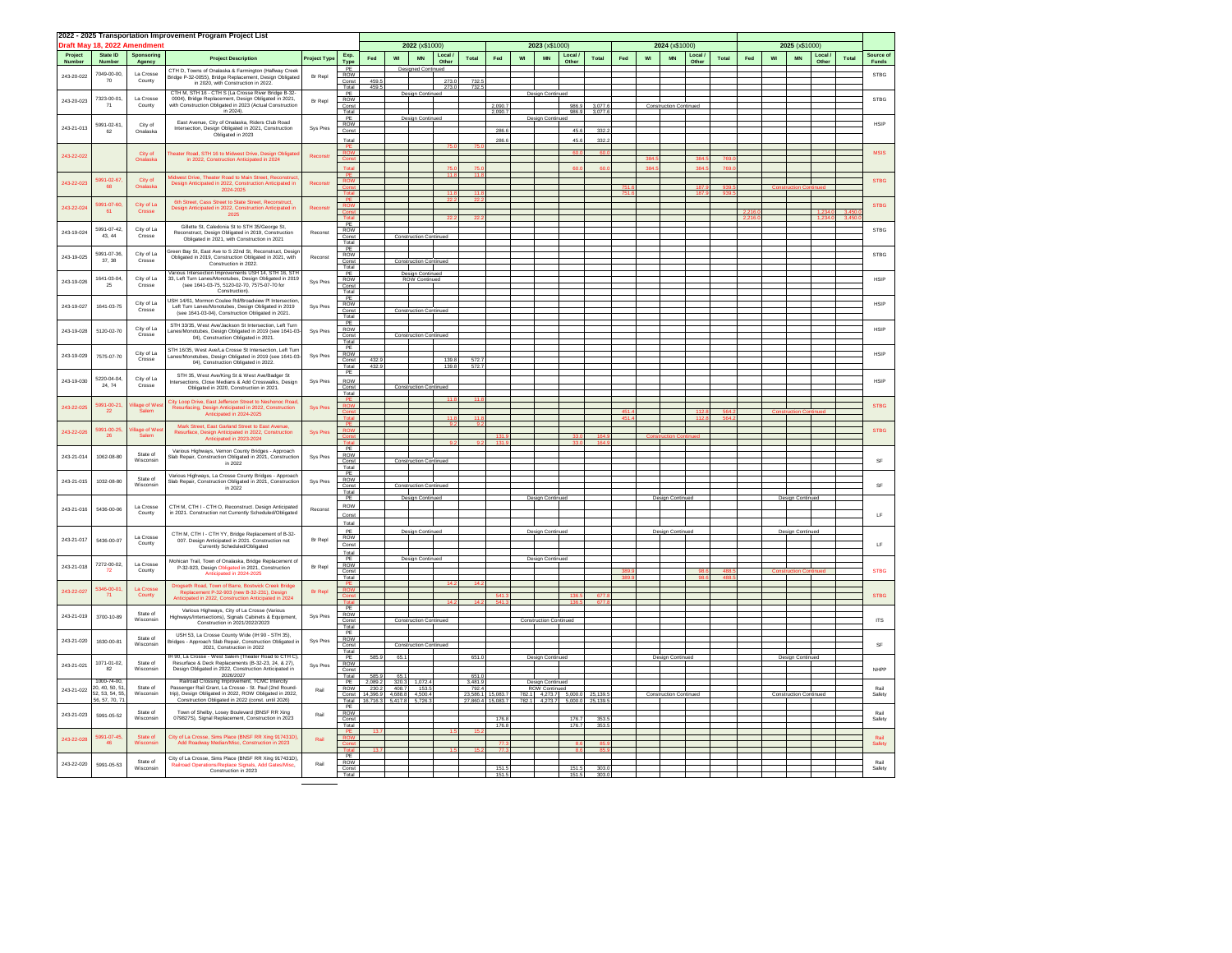|            |                              |                       | 2022 - 2025 Transportation Improvement Program Project List                                                        |                                                                                                                  |                                                  |                  |                 |                                  |                |                |                    |    |                                              |                       |                 |     |    |                               |       |                |     |    |                               |       |       |                                                                              |             |             |  |  |             |
|------------|------------------------------|-----------------------|--------------------------------------------------------------------------------------------------------------------|------------------------------------------------------------------------------------------------------------------|--------------------------------------------------|------------------|-----------------|----------------------------------|----------------|----------------|--------------------|----|----------------------------------------------|-----------------------|-----------------|-----|----|-------------------------------|-------|----------------|-----|----|-------------------------------|-------|-------|------------------------------------------------------------------------------|-------------|-------------|--|--|-------------|
|            | Draft May 18, 2022 Amendment |                       |                                                                                                                    |                                                                                                                  | 2022 (x\$1000)                                   |                  |                 |                                  |                | 2023 (x\$1000) |                    |    |                                              |                       | 2024 (x\$1000)  |     |    |                               |       | 2025 (x\$1000) |     |    |                               |       |       |                                                                              |             |             |  |  |             |
| Project    | State ID                     | Sponsoring            |                                                                                                                    |                                                                                                                  | Exp                                              |                  |                 |                                  | Local          |                |                    |    |                                              | Local                 |                 |     |    |                               | Local |                |     |    |                               | Local |       | Source of                                                                    |             |             |  |  |             |
| Number     | Number                       | Agency                | <b>Project Description</b>                                                                                         | <b>Project Type</b>                                                                                              | Type                                             | Fed              | WI              | MN                               | Other          | Total          | Fed                | WI | $\textsf{MN}$                                | Other                 | Total           | Fed | WI | $\texttt{MN}$                 | Other | Total          | Fed | WI | $\texttt{MN}$                 | Other | Total | Funds                                                                        |             |             |  |  |             |
| 243-20-022 | 7049-00-00.                  | La Crosse             | CTH D, Towns of Onalaska & Farmington (Halfway Creek                                                               | Br Reol                                                                                                          | PE<br>ROW                                        |                  |                 | <b>Designed Continued</b>        |                |                |                    |    |                                              |                       |                 |     |    |                               |       |                |     |    |                               |       |       | STBG                                                                         |             |             |  |  |             |
|            | 70                           | County                | Bridge P-32-0055), Bridge Replacement, Design Obligate                                                             |                                                                                                                  | Const                                            | 459.5            |                 |                                  | 273.0          | 732.           |                    |    |                                              |                       |                 |     |    |                               |       |                |     |    |                               |       |       |                                                                              |             |             |  |  |             |
|            |                              |                       | CTH M, STH 16 - CTH S (La Crosse River Bridge B-32                                                                 |                                                                                                                  | Total<br>PE                                      | 459.5            |                 | Desian Conti                     | 273.0          | 732.           |                    |    | Desian Contin                                |                       |                 |     |    |                               |       |                |     |    |                               |       |       |                                                                              |             |             |  |  |             |
| 243-20-023 | 7323-00-01<br>71             | La Crosse<br>County   | 0004). Bridge Replacement. Design Obligated in 2021.<br>with Construction Obligated in 2023 (Actual Construction   | Br Reol                                                                                                          | ROW                                              |                  |                 |                                  |                |                |                    |    |                                              |                       |                 |     |    |                               |       |                |     |    |                               |       |       | <b>STBG</b>                                                                  |             |             |  |  |             |
|            |                              |                       | in 2024).                                                                                                          |                                                                                                                  | Const<br>Total                                   |                  |                 |                                  |                |                | 2.090.7<br>2,090.7 |    |                                              | 986.9<br>986.9        | 3.077<br>3,077. |     |    | tion Continu                  |       |                |     |    |                               |       |       |                                                                              |             |             |  |  |             |
|            |                              |                       | East Avenue, City of Onalaska, Riders Club Road                                                                    |                                                                                                                  | PE<br><b>ROW</b>                                 |                  |                 | Design Continued                 |                |                |                    |    | Design Continued                             |                       |                 |     |    |                               |       |                |     |    |                               |       |       | <b>HSIP</b>                                                                  |             |             |  |  |             |
| 243-21-013 | 5991-02-61<br>62             | City of<br>Onalaska   | Intersection, Design Obligated in 2021, Construction                                                               | Sys Pres                                                                                                         | Const                                            |                  |                 |                                  |                |                | 286.6              |    |                                              | 45.6                  | 332             |     |    |                               |       |                |     |    |                               |       |       |                                                                              |             |             |  |  |             |
|            |                              |                       | Obligated in 2023                                                                                                  |                                                                                                                  | Total                                            |                  |                 |                                  |                |                | 286.6              |    |                                              | 45.                   | 332             |     |    |                               |       |                |     |    |                               |       |       |                                                                              |             |             |  |  |             |
|            |                              |                       |                                                                                                                    |                                                                                                                  | ROW                                              |                  |                 |                                  |                |                |                    |    |                                              |                       |                 |     |    |                               |       |                |     |    |                               |       |       | <b>MSIS</b>                                                                  |             |             |  |  |             |
| 243-22-022 |                              | City of<br>Onalaska   | Theater Road, STH 16 to Midwest Drive, Design Obligate<br>in 2022, Construction Anticipated in 2024                | Reconsti                                                                                                         |                                                  |                  |                 |                                  |                |                |                    |    |                                              |                       |                 |     |    |                               |       |                |     |    |                               |       |       |                                                                              |             |             |  |  |             |
|            |                              |                       |                                                                                                                    |                                                                                                                  |                                                  |                  |                 |                                  |                |                |                    |    |                                              |                       |                 |     |    |                               |       |                |     |    |                               |       |       |                                                                              |             |             |  |  |             |
| 243-22-023 | 5991-02-67                   | City of               | Midwest Drive, Theater Road to Main Street, Reconstruc                                                             | Reconst                                                                                                          | <b>ROW</b>                                       |                  |                 |                                  |                |                |                    |    |                                              |                       |                 |     |    |                               |       |                |     |    |                               |       |       | <b>STBG</b>                                                                  |             |             |  |  |             |
|            | 68                           | Onalaska              | Design Anticipated in 2022. Construction Anticipated in<br>2024-2025                                               |                                                                                                                  |                                                  |                  |                 |                                  |                |                |                    |    |                                              |                       |                 |     |    |                               |       |                |     |    |                               |       |       |                                                                              |             |             |  |  |             |
|            |                              |                       | 6th Street, Cass Street to State Street, Reconstruct,                                                              |                                                                                                                  | Tota                                             |                  |                 |                                  |                |                |                    |    |                                              |                       |                 |     |    |                               | 187   |                |     |    |                               |       |       |                                                                              |             |             |  |  |             |
| 243-22-024 | 5991-07-60<br>61             | City of La<br>Crosse  | Design Anticipated in 2022, Construction Anticipated in                                                            |                                                                                                                  | <b>ROW</b>                                       |                  |                 |                                  |                |                |                    |    |                                              |                       |                 |     |    |                               |       |                |     |    |                               |       |       | <b>STBG</b>                                                                  |             |             |  |  |             |
|            |                              |                       | 2025                                                                                                               |                                                                                                                  |                                                  |                  |                 |                                  |                |                |                    |    |                                              |                       |                 |     |    |                               |       |                |     |    |                               |       |       |                                                                              |             |             |  |  |             |
| 243-19-024 | 5991-07-42                   | City of La            | Gillette St, Caledonia St to STH 35/George St,<br>Reconstruct, Design Obligated in 2019, Construction              | Reconst                                                                                                          | PF<br>ROW                                        |                  |                 |                                  |                |                |                    |    |                                              |                       |                 |     |    |                               |       |                |     |    |                               |       |       | <b>STBG</b>                                                                  |             |             |  |  |             |
|            | 43.44                        | Crosse                | Obligated in 2021, with Construction in 2021                                                                       |                                                                                                                  | Const                                            |                  |                 | <b>Construction Continued</b>    |                |                |                    |    |                                              |                       |                 |     |    |                               |       |                |     |    |                               |       |       |                                                                              |             |             |  |  |             |
|            |                              |                       | Green Bay St. East Ave to S 22nd St. Reconstruct. Design                                                           |                                                                                                                  | Total<br>PE                                      |                  |                 |                                  |                |                |                    |    |                                              |                       |                 |     |    |                               |       |                |     |    |                               |       |       |                                                                              |             |             |  |  |             |
| 243-19-025 | 5991-07-36<br>37, 38         | City of La            | Obligated in 2019, Construction Obligated in 2021, with                                                            | Reconst                                                                                                          | ROW                                              |                  |                 |                                  |                |                |                    |    |                                              |                       |                 |     |    |                               |       |                |     |    |                               |       |       | <b>STBG</b>                                                                  |             |             |  |  |             |
|            |                              | Crosse                | Construction in 2022.                                                                                              |                                                                                                                  | Const<br>Total                                   |                  |                 | <b>Construction Continued</b>    |                |                |                    |    |                                              |                       |                 |     |    |                               |       |                |     |    |                               |       |       |                                                                              |             |             |  |  |             |
|            | 1641-03-04                   | City of La            | Various Intersection Improvements USH 14, STH 16, ST<br>33. Left Turn Lanes/Monotubes, Design Obligated in 2019    |                                                                                                                  | PE<br>ROW                                        |                  |                 | Design Continued<br>ROW Continue |                |                |                    |    |                                              |                       |                 |     |    |                               |       |                |     |    |                               |       |       | <b>HSIP</b>                                                                  |             |             |  |  |             |
| 243-19-026 | 25                           | Crosse                | (see 1641-03-75, 5120-02-70, 7575-07-70 for                                                                        | Sys Pres                                                                                                         | Const                                            |                  |                 |                                  |                |                |                    |    |                                              |                       |                 |     |    |                               |       |                |     |    |                               |       |       |                                                                              |             |             |  |  |             |
|            |                              |                       | Construction).<br>USH 14/61, Mormon Coulee Rd/Broadview PI Intersection                                            |                                                                                                                  | Total<br>PE                                      |                  |                 |                                  |                |                |                    |    |                                              |                       |                 |     |    |                               |       |                |     |    |                               |       |       |                                                                              |             |             |  |  |             |
| 243-19-027 | 1641-03-75                   | City of La            | Left Turn Lanes/Monotubes, Design Obligated in 2019                                                                | Sys Pres                                                                                                         | ROW                                              |                  |                 |                                  |                |                |                    |    |                                              |                       |                 |     |    |                               |       |                |     |    |                               |       |       | <b>HSIP</b>                                                                  |             |             |  |  |             |
|            |                              | Crosse                | (see 1641-03-04), Construction Obligated in 2021.                                                                  |                                                                                                                  | Const<br>Total                                   |                  |                 | <b>Construction Continued</b>    |                |                |                    |    |                                              |                       |                 |     |    |                               |       |                |     |    |                               |       |       |                                                                              |             |             |  |  |             |
|            |                              | City of La            | STH 33/35, West Ave/Jackson St Intersection, Left Turn                                                             |                                                                                                                  | PE                                               |                  |                 |                                  |                |                |                    |    |                                              |                       |                 |     |    |                               |       |                |     |    |                               |       |       |                                                                              |             |             |  |  |             |
| 243-19-028 | 5120-02-70                   | Crosse                | 04), Construction Obligated in 2021.                                                                               | anes/Monotubes, Design Obligated in 2019 (see 1641-03                                                            |                                                  |                  |                 |                                  | Sys Pres       | ROW<br>Const   |                    |    | <b>Construction Continued</b>                |                       |                 |     |    |                               |       |                |     |    |                               |       |       |                                                                              |             |             |  |  | <b>HSIP</b> |
|            |                              |                       |                                                                                                                    |                                                                                                                  |                                                  |                  |                 | Total                            |                |                |                    |    |                                              |                       |                 |     |    |                               |       |                |     |    |                               |       |       |                                                                              |             |             |  |  |             |
| 243-19-029 | 7575-07-70                   | City of La            | STH 16/35, West Ave/La Crosse St Intersection, Left Tur<br>anes/Monotubes, Design Obligated in 2019 (see 1641-03   | Sys Pres                                                                                                         | PE<br><b>ROW</b>                                 |                  |                 |                                  |                |                |                    |    |                                              |                       |                 |     |    |                               |       |                |     |    |                               |       |       | <b>HSIP</b>                                                                  |             |             |  |  |             |
|            |                              | Crosse                | 04), Construction Obligated in 2022.                                                                               |                                                                                                                  | Const<br>Total                                   | 432.<br>432.     |                 |                                  | 139.8<br>139.8 | 572.<br>572    |                    |    |                                              |                       |                 |     |    |                               |       |                |     |    |                               |       |       |                                                                              |             |             |  |  |             |
|            |                              |                       | STH 35. West Ave/King St & West Ave/Badger St                                                                      |                                                                                                                  | PE                                               |                  |                 |                                  |                |                |                    |    |                                              |                       |                 |     |    |                               |       |                |     |    |                               |       |       |                                                                              |             |             |  |  |             |
| 243-19-030 | 5220-04-04<br>24, 74         | City of La<br>Crosse  | Intersections, Close Medians & Add Crosswalks, Design                                                              | Sys Pres                                                                                                         | ROW                                              |                  |                 |                                  |                |                |                    |    |                                              |                       |                 |     |    |                               |       |                |     |    |                               |       |       | <b>HSIP</b>                                                                  |             |             |  |  |             |
|            |                              |                       | Obligated in 2020, Construction in 2021.                                                                           |                                                                                                                  | Const<br>Total                                   |                  |                 | Construction Cor                 |                |                |                    |    |                                              |                       |                 |     |    |                               |       |                |     |    |                               |       |       |                                                                              |             |             |  |  |             |
|            | 991-00-21                    | ge of We              |                                                                                                                    | City Loop Drive, East Jefferson Street to Neshonoc Road<br>Resurfacing, Design Anticipated in 2022, Construction |                                                  | <b>ROV</b>       |                 |                                  |                |                |                    |    |                                              |                       |                 |     |    |                               |       |                |     |    |                               |       |       |                                                                              | <b>STBG</b> |             |  |  |             |
| 243-22-02  | 22                           | Salem                 | Anticipated in 2024-2025                                                                                           |                                                                                                                  |                                                  |                  | <b>Sys Pres</b> |                                  |                |                |                    |    |                                              |                       |                 |     |    |                               |       |                |     |    |                               |       |       |                                                                              |             |             |  |  |             |
|            |                              |                       |                                                                                                                    |                                                                                                                  |                                                  |                  |                 |                                  |                |                |                    |    |                                              |                       |                 |     |    |                               |       |                |     |    |                               |       |       |                                                                              |             |             |  |  |             |
| 243-22-026 | 5991-00-25                   | age of Wes            | Resurface, Design Anticipated in 2022, Construction<br>Anticipated in 2023-2024                                    |                                                                                                                  | Mark Street, East Garland Street to East Avenue. | <b>Sys Pres</b>  | ROV             |                                  |                |                |                    |    |                                              |                       |                 |     |    |                               |       |                |     |    |                               |       |       |                                                                              |             | <b>STBG</b> |  |  |             |
|            | -26                          |                       |                                                                                                                    |                                                                                                                  |                                                  |                  |                 |                                  |                |                |                    |    |                                              |                       |                 |     |    |                               |       |                |     |    |                               |       |       |                                                                              |             |             |  |  |             |
|            |                              | State of              | Various Highways, Vernon County Bridges - Approach                                                                 |                                                                                                                  | PE                                               |                  |                 |                                  |                |                |                    |    |                                              |                       |                 |     |    |                               |       |                |     |    |                               |       |       |                                                                              |             |             |  |  |             |
| 243-21-014 | 1062-08-80                   | Wisconsin             | Slab Repair, Construction Obligated in 2021, Construction<br>in 2022                                               | Sys Pres                                                                                                         | ROW<br>Const                                     |                  |                 | <b>Construction Continued</b>    |                |                |                    |    |                                              |                       |                 |     |    |                               |       |                |     |    |                               |       |       | SF                                                                           |             |             |  |  |             |
|            |                              |                       |                                                                                                                    |                                                                                                                  | Total<br>PE                                      |                  |                 |                                  |                |                |                    |    |                                              |                       |                 |     |    |                               |       |                |     |    |                               |       |       |                                                                              |             |             |  |  |             |
| 243-21-015 | 1032-08-80                   | State of              | Various Highways, La Crosse County Bridges - Approach<br>Slab Repair, Construction Obligated in 2021, Construction | Sys Pres                                                                                                         | ROW                                              |                  |                 |                                  |                |                |                    |    |                                              |                       |                 |     |    |                               |       |                |     |    |                               |       |       |                                                                              |             |             |  |  |             |
|            |                              | Wisconsin             | in 2022                                                                                                            |                                                                                                                  | Const<br>Total                                   |                  |                 | <b>Construction Continued</b>    |                |                |                    |    |                                              |                       |                 |     |    |                               |       |                |     |    |                               |       |       | SF                                                                           |             |             |  |  |             |
|            |                              |                       |                                                                                                                    |                                                                                                                  | PE                                               |                  |                 | Design Continued                 |                |                |                    |    | Design Continued                             |                       |                 |     |    | Design Continued              |       |                |     |    | Design Continued              |       |       |                                                                              |             |             |  |  |             |
| 243-21-016 | 5436-00-06                   | La Crosse<br>County   | CTH M, CTH I - CTH O, Reconstruct. Design Anticipated<br>in 2021. Construction not Currently Scheduled/Obligated   | Reconst                                                                                                          | ROW                                              |                  |                 |                                  |                |                |                    |    |                                              |                       |                 |     |    |                               |       |                |     |    |                               |       |       |                                                                              |             |             |  |  |             |
|            |                              |                       |                                                                                                                    |                                                                                                                  | Const<br>Total                                   |                  |                 |                                  |                |                |                    |    |                                              |                       |                 |     |    |                               |       |                |     |    |                               |       |       | $\mathsf{LF}% _{0}\left( t\right) \rightarrow\mathsf{LF}_{0}\left( t\right)$ |             |             |  |  |             |
|            |                              |                       |                                                                                                                    |                                                                                                                  | PE                                               |                  |                 | Design Continued                 |                |                |                    |    | Design Continued                             |                       |                 |     |    | Design Continued              |       |                |     |    | Design Continuer              |       |       |                                                                              |             |             |  |  |             |
| 243-21-017 | 5436-00-07                   | La Crosse             | CTH M. CTH I - CTH YY. Bridge Replacement of B-32-<br>007. Design Anticipated in 2021. Construction not            | Br Repl                                                                                                          | ROW                                              |                  |                 |                                  |                |                |                    |    |                                              |                       |                 |     |    |                               |       |                |     |    |                               |       |       |                                                                              |             |             |  |  |             |
|            |                              | County                | Currently Scheduled/Obligated                                                                                      |                                                                                                                  | Const                                            |                  |                 |                                  |                |                |                    |    |                                              |                       |                 |     |    |                               |       |                |     |    |                               |       |       | LF                                                                           |             |             |  |  |             |
|            |                              |                       | Mohican Trail, Town of Onalaska, Bridge Replacement of                                                             |                                                                                                                  | Total<br>PE                                      |                  |                 | Design Conti                     |                |                |                    |    | Design Continue                              |                       |                 |     |    |                               |       |                |     |    |                               |       |       |                                                                              |             |             |  |  |             |
| 243-21-018 | 7272-00-02,<br>72            | La Crosse<br>County   | P-32-923, Design Obligated in 2021, Construction                                                                   | Br Repl                                                                                                          | ROW<br>Const                                     |                  |                 |                                  |                |                |                    |    |                                              |                       |                 |     |    |                               |       |                |     |    |                               |       |       | <b>STBG</b>                                                                  |             |             |  |  |             |
|            |                              |                       | Anticipated in 2024-2025                                                                                           |                                                                                                                  | Total                                            |                  |                 |                                  |                |                |                    |    |                                              |                       |                 |     |    |                               |       |                |     |    |                               |       |       |                                                                              |             |             |  |  |             |
| 243-22-027 | 5346-00-01                   | La Crosse             | Drogseth Road, Town of Barre, Bostwick Creek Bridge<br>Replacement P-32-903 (new B-32-231), Design                 | <b>Br</b> Reol                                                                                                   | <b>ROV</b>                                       |                  |                 |                                  |                |                |                    |    |                                              |                       |                 |     |    |                               |       |                |     |    |                               |       |       |                                                                              |             |             |  |  |             |
|            | 71                           | County                | Anticipated in 2022. Construction Anticipated in 2024                                                              |                                                                                                                  |                                                  |                  |                 |                                  |                |                |                    |    |                                              |                       |                 |     |    |                               |       |                |     |    |                               |       |       | <b>STBG</b>                                                                  |             |             |  |  |             |
|            |                              |                       | Various Highways, City of La Crosse (Various                                                                       |                                                                                                                  | PE                                               |                  |                 |                                  |                |                |                    |    |                                              |                       |                 |     |    |                               |       |                |     |    |                               |       |       |                                                                              |             |             |  |  |             |
| 243-21-019 | 3700-10-89                   | State of<br>Wisconsin | Highways/Intersections), Signals Cabinets & Equipment,                                                             | Sys Pres                                                                                                         | ROW                                              |                  |                 |                                  |                |                |                    |    |                                              |                       |                 |     |    |                               |       |                |     |    |                               |       |       | <b>ITS</b>                                                                   |             |             |  |  |             |
|            |                              |                       | Construction in 2021/2022/2023                                                                                     |                                                                                                                  | Const<br>Total                                   |                  |                 | <b>Construction Continued</b>    |                |                |                    |    | <b>Construction Continued</b>                |                       |                 |     |    |                               |       |                |     |    |                               |       |       |                                                                              |             |             |  |  |             |
|            |                              | State of              | USH 53, La Crosse County Wide (IH 90 - STH 35)                                                                     |                                                                                                                  | PE<br><b>ROW</b>                                 |                  |                 |                                  |                |                |                    |    |                                              |                       |                 |     |    |                               |       |                |     |    |                               |       |       |                                                                              |             |             |  |  |             |
| 243-21-020 | 1630-00-81                   | Wisconsin             | Indges - Approach Slab Repair, Construction Obligated in<br>2021, Construction in 2022                             | Sys Pres                                                                                                         | Const                                            |                  |                 | <b>Construction Continued</b>    |                |                |                    |    |                                              |                       |                 |     |    |                               |       |                |     |    |                               |       |       | SF                                                                           |             |             |  |  |             |
|            |                              |                       | H 90, La Crosse - West Salem (Theater Road to CTH C)                                                               |                                                                                                                  | Total                                            | 585.             | 65.1            |                                  |                | 651.           |                    |    | Design Continue                              |                       |                 |     |    | Design Contin                 |       |                |     |    | Design Cont                   |       |       |                                                                              |             |             |  |  |             |
| 243-21-021 | 1071-01-02,<br>82            | State of<br>Wisconsin | Resurface & Deck Replacements (B-32-23, 24, & 27).                                                                 | Sys Pres                                                                                                         | ROW                                              |                  |                 |                                  |                |                |                    |    |                                              |                       |                 |     |    |                               |       |                |     |    |                               |       |       |                                                                              |             |             |  |  |             |
|            |                              |                       | Design Obligated in 2022, Construction Anticipated in<br>2026/2027                                                 |                                                                                                                  | Const<br>Total                                   | 585.9            | 65.1            |                                  |                | 651.           |                    |    |                                              |                       |                 |     |    |                               |       |                |     |    |                               |       |       | NHPF                                                                         |             |             |  |  |             |
|            | 1000-74-00<br>20, 40, 50, 51 | State of              | Railroad Crossing Improvement, TCMC Intercity<br>Passenger Rail Grant, La Crosse - St. Paul (2nd Round-            |                                                                                                                  | PE                                               | 2.089.2          | 320.3           | 1.072.4                          |                | 3.481.         |                    |    | <b>Design Continued</b>                      |                       |                 |     |    |                               |       |                |     |    |                               |       |       | Rail                                                                         |             |             |  |  |             |
| 243-21-022 | 52 53 54 55                  | Wisconsin             | trip). Design Obligated in 2022. ROW Obligated in 2022.                                                            | Rail                                                                                                             | ROW<br>Const                                     | 230.2<br>14.396. | 408.7           | 153.5<br>4.688.8 4.500.4         |                | 792.<br>23.586 | 15,083.7           |    | <b>ROW Continued</b><br>782.1 4.273.7 5.000. |                       | 25.139.         |     |    | <b>Construction Continued</b> |       |                |     |    | <b>Construction Continued</b> |       |       | Safety                                                                       |             |             |  |  |             |
|            | 6, 57, 70, 7                 |                       | Construction Obligated in 2022 (const. until 2026)                                                                 |                                                                                                                  | Total I<br>PF                                    | 16,716.3         | 5,417.8         | 5.726.3                          |                | 27,860.4       | 15,083.7           |    |                                              | 782.1 4,273.7 5,000.0 | 25,139.         |     |    |                               |       |                |     |    |                               |       |       |                                                                              |             |             |  |  |             |
| 243-21-023 | 5991-05-52                   | State of              | Town of Shelby, Losey Boulevard (BNSF RR Xing                                                                      | Rail                                                                                                             | ROW                                              |                  |                 |                                  |                |                |                    |    |                                              |                       |                 |     |    |                               |       |                |     |    |                               |       |       | Rail                                                                         |             |             |  |  |             |
|            |                              | Wisconsin             | 079827S), Signal Replacement, Construction in 2023                                                                 |                                                                                                                  | Const<br>Total                                   |                  |                 |                                  |                |                | 176.8<br>176.8     |    |                                              | 176.7<br>176.7        | 353.<br>353     |     |    |                               |       |                |     |    |                               |       |       | Safety                                                                       |             |             |  |  |             |
|            | 991-07-45                    |                       |                                                                                                                    |                                                                                                                  |                                                  |                  |                 |                                  |                |                |                    |    |                                              |                       |                 |     |    |                               |       |                |     |    |                               |       |       |                                                                              |             |             |  |  |             |
| 243-22-028 | 46                           | State of<br>Wisconsir | City of La Crosse, Sims Place (BNSF RR Xing 917431D)<br>Add Roadway Median/Misc, Construction in 2023              | Rail                                                                                                             | <b>ROW</b>                                       |                  |                 |                                  |                |                |                    |    |                                              |                       |                 |     |    |                               |       |                |     |    |                               |       |       | Rail<br>Safety                                                               |             |             |  |  |             |
|            |                              |                       |                                                                                                                    |                                                                                                                  |                                                  |                  |                 |                                  |                |                |                    |    |                                              |                       |                 |     |    |                               |       |                |     |    |                               |       |       |                                                                              |             |             |  |  |             |
| 243-22-020 | 5991-05-53                   | State of              | City of La Crosse, Sims Place (BNSF RR Xing 917431D).<br><b>Railroad Opera</b>                                     | Rail                                                                                                             | PE<br>ROW                                        |                  |                 |                                  |                |                |                    |    |                                              |                       |                 |     |    |                               |       |                |     |    |                               |       |       | Rail                                                                         |             |             |  |  |             |
|            |                              | Wisconsin             | Construction in 2023                                                                                               |                                                                                                                  | Const<br>Total                                   |                  |                 |                                  |                |                | 151.5<br>151.      |    |                                              | 151.5<br>151.         | 303             |     |    |                               |       |                |     |    |                               |       |       | Safety                                                                       |             |             |  |  |             |